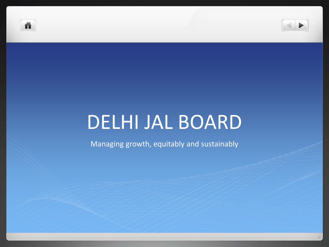



# DELHI JAL BOARD

Managing growth, equitably and sustainably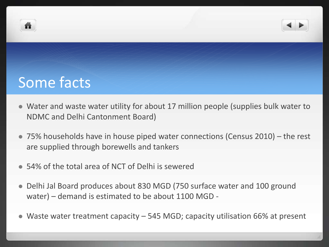



# Some facts

- Water and waste water utility for about 17 million people (supplies bulk water to NDMC and Delhi Cantonment Board)
- 75% households have in house piped water connections (Census 2010) the rest are supplied through borewells and tankers
- 54% of the total area of NCT of Delhi is sewered
- Delhi Jal Board produces about 830 MGD (750 surface water and 100 ground water) – demand is estimated to be about 1100 MGD -
- Waste water treatment capacity 545 MGD; capacity utilisation 66% at present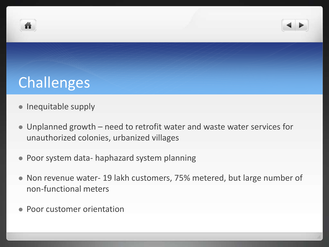



# Challenges

- Inequitable supply
- Unplanned growth need to retrofit water and waste water services for unauthorized colonies, urbanized villages
- Poor system data- haphazard system planning
- Non revenue water- 19 lakh customers, 75% metered, but large number of non-functional meters
- Poor customer orientation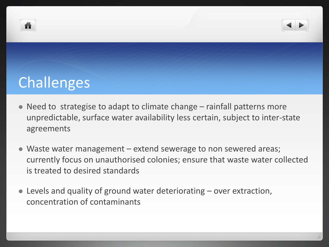



# **Challenges**

- Need to strategise to adapt to climate change rainfall patterns more unpredictable, surface water availability less certain, subject to inter-state agreements
- Waste water management extend sewerage to non sewered areas; currently focus on unauthorised colonies; ensure that waste water collected is treated to desired standards
- Levels and quality of ground water deteriorating over extraction, concentration of contaminants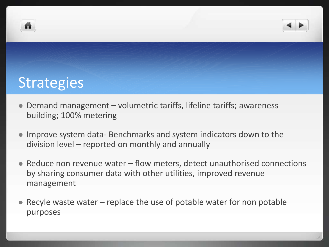



## **Strategies**

- Demand management volumetric tariffs, lifeline tariffs; awareness building; 100% metering
- Improve system data- Benchmarks and system indicators down to the division level – reported on monthly and annually
- Reduce non revenue water flow meters, detect unauthorised connections by sharing consumer data with other utilities, improved revenue management
- Recyle waste water replace the use of potable water for non potable purposes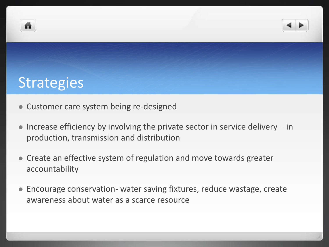



## **Strategies**

- Customer care system being re-designed
- $\bullet$  Increase efficiency by involving the private sector in service delivery  $-$  in production, transmission and distribution
- Create an effective system of regulation and move towards greater accountability
- Encourage conservation- water saving fixtures, reduce wastage, create awareness about water as a scarce resource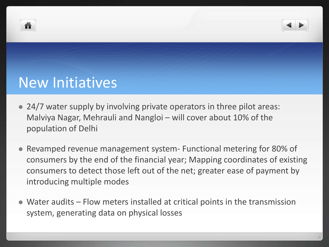



### New Initiatives

- 24/7 water supply by involving private operators in three pilot areas: Malviya Nagar, Mehrauli and Nangloi – will cover about 10% of the population of Delhi
- Revamped revenue management system- Functional metering for 80% of consumers by the end of the financial year; Mapping coordinates of existing consumers to detect those left out of the net; greater ease of payment by introducing multiple modes
- Water audits Flow meters installed at critical points in the transmission system, generating data on physical losses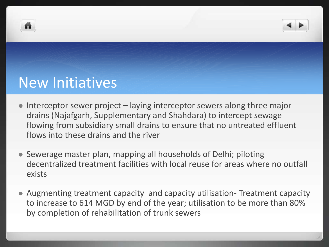



### New Initiatives

- Interceptor sewer project laying interceptor sewers along three major drains (Najafgarh, Supplementary and Shahdara) to intercept sewage flowing from subsidiary small drains to ensure that no untreated effluent flows into these drains and the river
- Sewerage master plan, mapping all households of Delhi; piloting decentralized treatment facilities with local reuse for areas where no outfall exists
- Augmenting treatment capacity and capacity utilisation- Treatment capacity to increase to 614 MGD by end of the year; utilisation to be more than 80% by completion of rehabilitation of trunk sewers